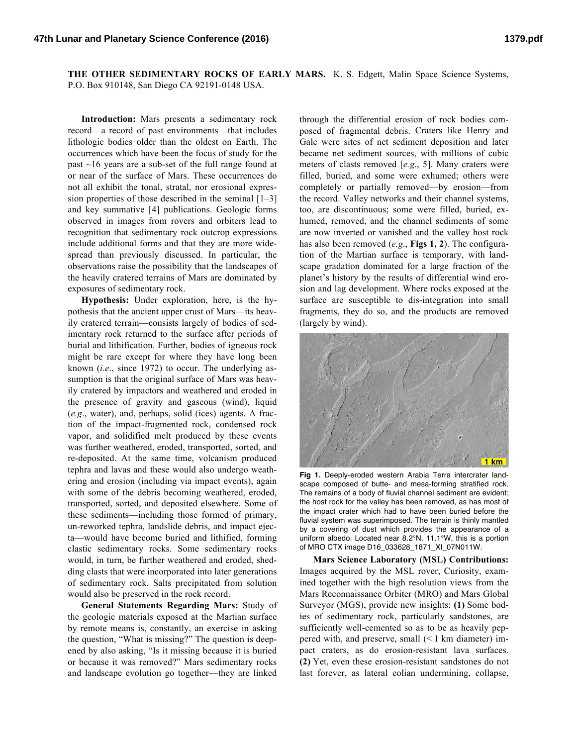**THE OTHER SEDIMENTARY ROCKS OF EARLY MARS.** K. S. Edgett, Malin Space Science Systems, P.O. Box 910148, San Diego CA 92191-0148 USA.

**Introduction:** Mars presents a sedimentary rock record—a record of past environments—that includes lithologic bodies older than the oldest on Earth. The occurrences which have been the focus of study for the past ~16 years are a sub-set of the full range found at or near of the surface of Mars. These occurrences do not all exhibit the tonal, stratal, nor erosional expression properties of those described in the seminal [1–3] and key summative [4] publications. Geologic forms observed in images from rovers and orbiters lead to recognition that sedimentary rock outcrop expressions include additional forms and that they are more widespread than previously discussed. In particular, the observations raise the possibility that the landscapes of the heavily cratered terrains of Mars are dominated by exposures of sedimentary rock.

**Hypothesis:** Under exploration, here, is the hypothesis that the ancient upper crust of Mars—its heavily cratered terrain—consists largely of bodies of sedimentary rock returned to the surface after periods of burial and lithification. Further, bodies of igneous rock might be rare except for where they have long been known (*i.e*., since 1972) to occur. The underlying assumption is that the original surface of Mars was heavily cratered by impactors and weathered and eroded in the presence of gravity and gaseous (wind), liquid (*e.g*., water), and, perhaps, solid (ices) agents. A fraction of the impact-fragmented rock, condensed rock vapor, and solidified melt produced by these events was further weathered, eroded, transported, sorted, and re-deposited. At the same time, volcanism produced tephra and lavas and these would also undergo weathering and erosion (including via impact events), again with some of the debris becoming weathered, eroded, transported, sorted, and deposited elsewhere. Some of these sediments—including those formed of primary, un-reworked tephra, landslide debris, and impact ejecta—would have become buried and lithified, forming clastic sedimentary rocks. Some sedimentary rocks would, in turn, be further weathered and eroded, shedding clasts that were incorporated into later generations of sedimentary rock. Salts precipitated from solution would also be preserved in the rock record.

**General Statements Regarding Mars:** Study of the geologic materials exposed at the Martian surface by remote means is, constantly, an exercise in asking the question, "What is missing?" The question is deepened by also asking, "Is it missing because it is buried or because it was removed?" Mars sedimentary rocks and landscape evolution go together—they are linked

through the differential erosion of rock bodies composed of fragmental debris. Craters like Henry and Gale were sites of net sediment deposition and later became net sediment sources, with millions of cubic meters of clasts removed [*e.g*., 5]. Many craters were filled, buried, and some were exhumed; others were completely or partially removed—by erosion—from the record. Valley networks and their channel systems, too, are discontinuous; some were filled, buried, exhumed, removed, and the channel sediments of some are now inverted or vanished and the valley host rock has also been removed (*e.g*., **Figs 1, 2**). The configuration of the Martian surface is temporary, with landscape gradation dominated for a large fraction of the planet's history by the results of differential wind erosion and lag development. Where rocks exposed at the surface are susceptible to dis-integration into small fragments, they do so, and the products are removed (largely by wind).



**Fig 1.** Deeply-eroded western Arabia Terra intercrater landscape composed of butte- and mesa-forming stratified rock. The remains of a body of fluvial channel sediment are evident; the host rock for the valley has been removed, as has most of the impact crater which had to have been buried before the fluvial system was superimposed. The terrain is thinly mantled by a covering of dust which provides the appearance of a uniform albedo. Located near 8.2°N, 11.1°W, this is a portion of MRO CTX image D16\_033628\_1871\_XI\_07N011W.

**Mars Science Laboratory (MSL) Contributions:** Images acquired by the MSL rover, Curiosity, examined together with the high resolution views from the Mars Reconnaissance Orbiter (MRO) and Mars Global Surveyor (MGS), provide new insights: **(1)** Some bodies of sedimentary rock, particularly sandstones, are sufficiently well-cemented so as to be as heavily peppered with, and preserve, small (< 1 km diameter) impact craters, as do erosion-resistant lava surfaces. **(2)** Yet, even these erosion-resistant sandstones do not last forever, as lateral eolian undermining, collapse,